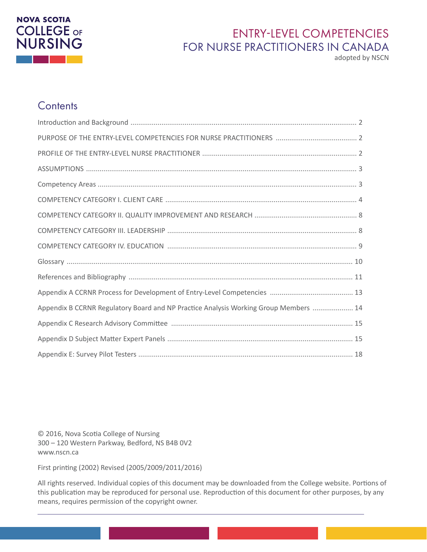# **NOVA SCOTIA COLLEGE OF**<br>NURSING

# ENTRY-LEVEL COMPETENCIES FOR NURSE PRACTITIONERS IN CANADA

adopted by NSCN

## **Contents**

| Appendix B CCRNR Regulatory Board and NP Practice Analysis Working Group Members  14 |  |
|--------------------------------------------------------------------------------------|--|
|                                                                                      |  |
|                                                                                      |  |
|                                                                                      |  |

© 2016, Nova Scotia College of Nursing 300 – 120 Western Parkway, Bedford, NS B4B 0V2 www.nscn.ca

First printing (2002) Revised (2005/2009/2011/2016)

All rights reserved. Individual copies of this document may be downloaded from the College website. Portions of this publication may be reproduced for personal use. Reproduction of this document for other purposes, by any means, requires permission of the copyright owner.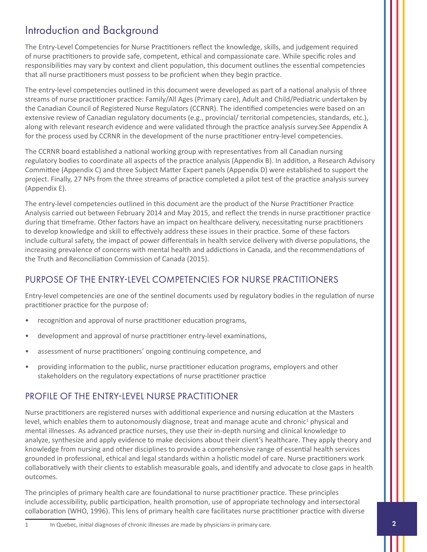# <span id="page-1-0"></span>Introduction and Background

The Entry-Level Competencies for Nurse Practitioners reflect the knowledge, skills, and judgement required of nurse practitioners to provide safe, competent, ethical and compassionate care. While specific roles and responsibilities may vary by context and client population, this document outlines the essential competencies that all nurse practitioners must possess to be proficient when they begin practice.

The entry-level competencies outlined in this document were developed as part of a national analysis of three streams of nurse practitioner practice: Family/All Ages (Primary care), Adult and Child/Pediatric undertaken by the Canadian Council of Registered Nurse Regulators (CCRNR). The identified competencies were based on an extensive review of Canadian regulatory documents (e.g., provincial/ territorial competencies, standards, etc.), along with relevant research evidence and were validated through the practice analysis survey.See Appendix A for the process used by CCRNR in the development of the nurse practitioner entry-level competencies.

The CCRNR board established a national working group with representatives from all Canadian nursing regulatory bodies to coordinate all aspects of the practice analysis (Appendix B). In addition, a Research Advisory Committee (Appendix C) and three Subject Matter Expert panels (Appendix D) were established to support the project. Finally, 27 NPs from the three streams of practice completed a pilot test of the practice analysis survey (Appendix E).

The entry-level competencies outlined in this document are the product of the Nurse Practitioner Practice Analysis carried out between February 2014 and May 2015, and reflect the trends in nurse practitioner practice during that timeframe. Other factors have an impact on healthcare delivery, necessitating nurse practitioners to develop knowledge and skill to effectively address these issues in their practice. Some of these factors include cultural safety, the impact of power differentials in health service delivery with diverse populations, the increasing prevalence of concerns with mental health and addictions in Canada, and the recommendations of the Truth and Reconciliation Commission of Canada (2015).

## PURPOSE OF THE ENTRY-LEVEL COMPETENCIES FOR NURSE PRACTITIONERS

Entry-level competencies are one of the sentinel documents used by regulatory bodies in the regulation of nurse practitioner practice for the purpose of:

- recognition and approval of nurse practitioner education programs,
- development and approval of nurse practitioner entry-level examinations,
- assessment of nurse practitioners' ongoing continuing competence, and
- providing information to the public, nurse practitioner education programs, employers and other stakeholders on the regulatory expectations of nurse practitioner practice

## PROFILE OF THE ENTRY-LEVEL NURSE PRACTITIONER

Nurse practitioners are registered nurses with additional experience and nursing education at the Masters level, which enables them to autonomously diagnose, treat and manage acute and chronic<sup>1</sup> physical and mental illnesses. As advanced practice nurses, they use their in-depth nursing and clinical knowledge to analyze, synthesize and apply evidence to make decisions about their client's healthcare. They apply theory and knowledge from nursing and other disciplines to provide a comprehensive range of essential health services grounded in professional, ethical and legal standards within a holistic model of care. Nurse practitioners work collaboratively with their clients to establish measurable goals, and identify and advocate to close gaps in health outcomes.

The principles of primary health care are foundational to nurse practitioner practice. These principles include accessibility, public participation, health promotion, use of appropriate technology and intersectoral collaboration (WHO, 1996). This lens of primary health care facilitates nurse practitioner practice with diverse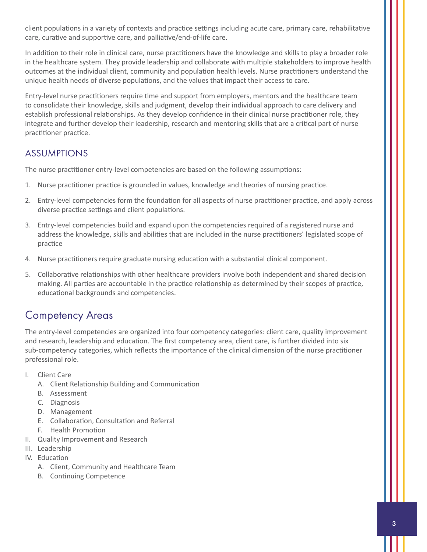<span id="page-2-0"></span>client populations in a variety of contexts and practice settings including acute care, primary care, rehabilitative care, curative and supportive care, and palliative/end-of-life care.

In addition to their role in clinical care, nurse practitioners have the knowledge and skills to play a broader role in the healthcare system. They provide leadership and collaborate with multiple stakeholders to improve health outcomes at the individual client, community and population health levels. Nurse practitioners understand the unique health needs of diverse populations, and the values that impact their access to care.

Entry-level nurse practitioners require time and support from employers, mentors and the healthcare team to consolidate their knowledge, skills and judgment, develop their individual approach to care delivery and establish professional relationships. As they develop confidence in their clinical nurse practitioner role, they integrate and further develop their leadership, research and mentoring skills that are a critical part of nurse practitioner practice.

## **ASSUMPTIONS**

The nurse practitioner entry-level competencies are based on the following assumptions:

- 1. Nurse practitioner practice is grounded in values, knowledge and theories of nursing practice.
- 2. Entry-level competencies form the foundation for all aspects of nurse practitioner practice, and apply across diverse practice settings and client populations.
- 3. Entry-level competencies build and expand upon the competencies required of a registered nurse and address the knowledge, skills and abilities that are included in the nurse practitioners' legislated scope of practice
- 4. Nurse practitioners require graduate nursing education with a substantial clinical component.
- 5. Collaborative relationships with other healthcare providers involve both independent and shared decision making. All parties are accountable in the practice relationship as determined by their scopes of practice, educational backgrounds and competencies.

## Competency Areas

The entry-level competencies are organized into four competency categories: client care, quality improvement and research, leadership and education. The first competency area, client care, is further divided into six sub-competency categories, which reflects the importance of the clinical dimension of the nurse practitioner professional role.

- I. Client Care
	- A. Client Relationship Building and Communication
	- B. Assessment
	- C. Diagnosis
	- D. Management
	- E. Collaboration, Consultation and Referral
	- F. Health Promotion
- II. Quality Improvement and Research
- III. Leadership
- IV. Education
	- A. Client, Community and Healthcare Team
	- B. Continuing Competence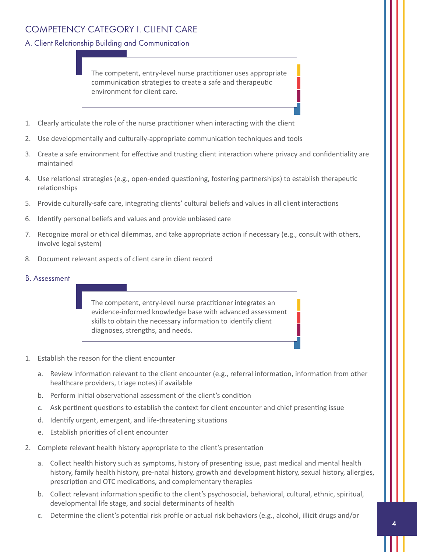## <span id="page-3-0"></span>COMPETENCY CATEGORY I. CLIENT CARE

#### A. Client Relationship Building and Communication

The competent, entry-level nurse practitioner uses appropriate communication strategies to create a safe and therapeutic environment for client care.

- 1. Clearly articulate the role of the nurse practitioner when interacting with the client
- 2. Use developmentally and culturally-appropriate communication techniques and tools
- 3. Create a safe environment for effective and trusting client interaction where privacy and confidentiality are maintained
- 4. Use relational strategies (e.g., open-ended questioning, fostering partnerships) to establish therapeutic relationships
- 5. Provide culturally-safe care, integrating clients' cultural beliefs and values in all client interactions
- 6. Identify personal beliefs and values and provide unbiased care
- 7. Recognize moral or ethical dilemmas, and take appropriate action if necessary (e.g., consult with others, involve legal system)
- 8. Document relevant aspects of client care in client record
- B. Assessment

The competent, entry-level nurse practitioner integrates an evidence-informed knowledge base with advanced assessment skills to obtain the necessary information to identify client diagnoses, strengths, and needs.

- 1. Establish the reason for the client encounter
	- a. Review information relevant to the client encounter (e.g., referral information, information from other healthcare providers, triage notes) if available
	- b. Perform initial observational assessment of the client's condition
	- c. Ask pertinent questions to establish the context for client encounter and chief presenting issue
	- d. Identify urgent, emergent, and life-threatening situations
	- e. Establish priorities of client encounter
- 2. Complete relevant health history appropriate to the client's presentation
	- a. Collect health history such as symptoms, history of presenting issue, past medical and mental health history, family health history, pre-natal history, growth and development history, sexual history, allergies, prescription and OTC medications, and complementary therapies
	- b. Collect relevant information specific to the client's psychosocial, behavioral, cultural, ethnic, spiritual, developmental life stage, and social determinants of health
	- c. Determine the client's potential risk profile or actual risk behaviors (e.g., alcohol, illicit drugs and/or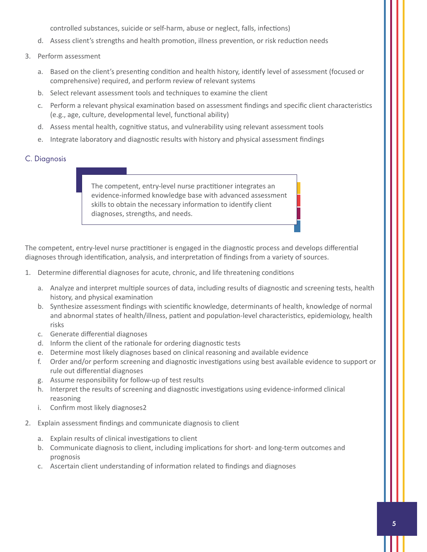controlled substances, suicide or self-harm, abuse or neglect, falls, infections)

- d. Assess client's strengths and health promotion, illness prevention, or risk reduction needs
- 3. Perform assessment
	- a. Based on the client's presenting condition and health history, identify level of assessment (focused or comprehensive) required, and perform review of relevant systems
	- b. Select relevant assessment tools and techniques to examine the client
	- c. Perform a relevant physical examination based on assessment findings and specific client characteristics (e.g., age, culture, developmental level, functional ability)
	- d. Assess mental health, cognitive status, and vulnerability using relevant assessment tools
	- e. Integrate laboratory and diagnostic results with history and physical assessment findings

## C. Diagnosis

The competent, entry-level nurse practitioner integrates an evidence-informed knowledge base with advanced assessment skills to obtain the necessary information to identify client diagnoses, strengths, and needs.

The competent, entry-level nurse practitioner is engaged in the diagnostic process and develops differential diagnoses through identification, analysis, and interpretation of findings from a variety of sources.

- 1. Determine differential diagnoses for acute, chronic, and life threatening conditions
	- a. Analyze and interpret multiple sources of data, including results of diagnostic and screening tests, health history, and physical examination
	- b. Synthesize assessment findings with scientific knowledge, determinants of health, knowledge of normal and abnormal states of health/illness, patient and population-level characteristics, epidemiology, health risks
	- c. Generate differential diagnoses
	- d. Inform the client of the rationale for ordering diagnostic tests
	- e. Determine most likely diagnoses based on clinical reasoning and available evidence
	- f. Order and/or perform screening and diagnostic investigations using best available evidence to support or rule out differential diagnoses
	- g. Assume responsibility for follow-up of test results
	- h. Interpret the results of screening and diagnostic investigations using evidence-informed clinical reasoning
	- i. Confirm most likely diagnoses2
- 2. Explain assessment findings and communicate diagnosis to client
	- a. Explain results of clinical investigations to client
	- b. Communicate diagnosis to client, including implications for short- and long-term outcomes and prognosis
	- c. Ascertain client understanding of information related to findings and diagnoses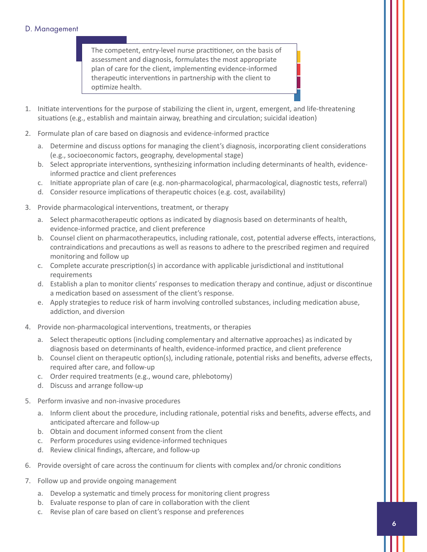#### D. Management

The competent, entry-level nurse practitioner, on the basis of assessment and diagnosis, formulates the most appropriate plan of care for the client, implementing evidence-informed therapeutic interventions in partnership with the client to optimize health.

- 1. Initiate interventions for the purpose of stabilizing the client in, urgent, emergent, and life-threatening situations (e.g., establish and maintain airway, breathing and circulation; suicidal ideation)
- 2. Formulate plan of care based on diagnosis and evidence-informed practice
	- a. Determine and discuss options for managing the client's diagnosis, incorporating client considerations (e.g., socioeconomic factors, geography, developmental stage)
	- b. Select appropriate interventions, synthesizing information including determinants of health, evidenceinformed practice and client preferences
	- c. Initiate appropriate plan of care (e.g. non-pharmacological, pharmacological, diagnostic tests, referral)
	- d. Consider resource implications of therapeutic choices (e.g. cost, availability)
- 3. Provide pharmacological interventions, treatment, or therapy
	- a. Select pharmacotherapeutic options as indicated by diagnosis based on determinants of health, evidence-informed practice, and client preference
	- b. Counsel client on pharmacotherapeutics, including rationale, cost, potential adverse effects, interactions, contraindications and precautions as well as reasons to adhere to the prescribed regimen and required monitoring and follow up
	- c. Complete accurate prescription(s) in accordance with applicable jurisdictional and institutional requirements
	- d. Establish a plan to monitor clients' responses to medication therapy and continue, adjust or discontinue a medication based on assessment of the client's response.
	- e. Apply strategies to reduce risk of harm involving controlled substances, including medication abuse, addiction, and diversion
- 4. Provide non-pharmacological interventions, treatments, or therapies
	- a. Select therapeutic options (including complementary and alternative approaches) as indicated by diagnosis based on determinants of health, evidence-informed practice, and client preference
	- b. Counsel client on therapeutic option(s), including rationale, potential risks and benefits, adverse effects, required after care, and follow-up
	- c. Order required treatments (e.g., wound care, phlebotomy)
	- d. Discuss and arrange follow-up
- 5. Perform invasive and non-invasive procedures
	- a. Inform client about the procedure, including rationale, potential risks and benefits, adverse effects, and anticipated aftercare and follow-up
	- b. Obtain and document informed consent from the client
	- c. Perform procedures using evidence-informed techniques
	- d. Review clinical findings, aftercare, and follow-up
- 6. Provide oversight of care across the continuum for clients with complex and/or chronic conditions
- 7. Follow up and provide ongoing management
	- a. Develop a systematic and timely process for monitoring client progress
	- b. Evaluate response to plan of care in collaboration with the client
	- c. Revise plan of care based on client's response and preferences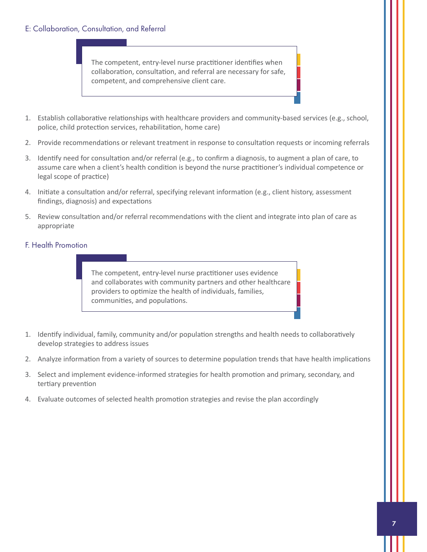#### E: Collaboration, Consultation, and Referral

The competent, entry-level nurse practitioner identifies when collaboration, consultation, and referral are necessary for safe, competent, and comprehensive client care.

- 1. Establish collaborative relationships with healthcare providers and community-based services (e.g., school, police, child protection services, rehabilitation, home care)
- 2. Provide recommendations or relevant treatment in response to consultation requests or incoming referrals
- 3. Identify need for consultation and/or referral (e.g., to confirm a diagnosis, to augment a plan of care, to assume care when a client's health condition is beyond the nurse practitioner's individual competence or legal scope of practice)
- 4. Initiate a consultation and/or referral, specifying relevant information (e.g., client history, assessment findings, diagnosis) and expectations
- 5. Review consultation and/or referral recommendations with the client and integrate into plan of care as appropriate

#### F. Health Promotion

The competent, entry-level nurse practitioner uses evidence and collaborates with community partners and other healthcare providers to optimize the health of individuals, families, communities, and populations.

- 1. Identify individual, family, community and/or population strengths and health needs to collaboratively develop strategies to address issues
- 2. Analyze information from a variety of sources to determine population trends that have health implications
- 3. Select and implement evidence-informed strategies for health promotion and primary, secondary, and tertiary prevention
- 4. Evaluate outcomes of selected health promotion strategies and revise the plan accordingly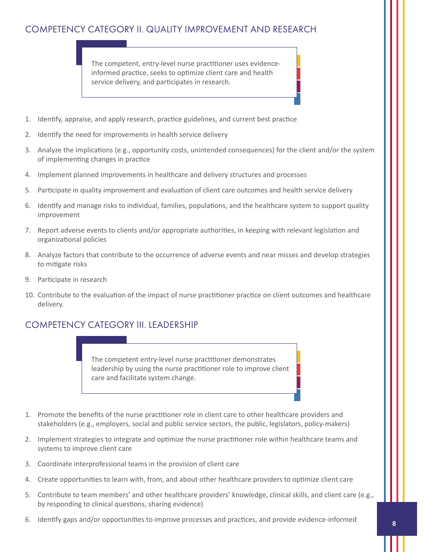## <span id="page-7-0"></span>COMPETENCY CATEGORY II. QUALITY IMPROVEMENT AND RESEARCH

The competent, entry-level nurse practitioner uses evidenceinformed practice, seeks to optimize client care and health service delivery, and participates in research.

- 1. Identify, appraise, and apply research, practice guidelines, and current best practice
- 2. Identify the need for improvements in health service delivery
- 3. Analyze the implications (e.g., opportunity costs, unintended consequences) for the client and/or the system of implementing changes in practice
- 4. Implement planned improvements in healthcare and delivery structures and processes
- 5. Participate in quality improvement and evaluation of client care outcomes and health service delivery
- 6. Identify and manage risks to individual, families, populations, and the healthcare system to support quality improvement
- 7. Report adverse events to clients and/or appropriate authorities, in keeping with relevant legislation and organizational policies
- 8. Analyze factors that contribute to the occurrence of adverse events and near misses and develop strategies to mitigate risks
- 9. Participate in research
- 10. Contribute to the evaluation of the impact of nurse practitioner practice on client outcomes and healthcare delivery.

## COMPETENCY CATEGORY III. LEADERSHIP

The competent entry-level nurse practitioner demonstrates leadership by using the nurse practitioner role to improve client care and facilitate system change.

- 1. Promote the benefits of the nurse practitioner role in client care to other healthcare providers and stakeholders (e.g., employers, social and public service sectors, the public, legislators, policy-makers)
- 2. Implement strategies to integrate and optimize the nurse practitioner role within healthcare teams and systems to improve client care
- 3. Coordinate interprofessional teams in the provision of client care
- 4. Create opportunities to learn with, from, and about other healthcare providers to optimize client care
- 5. Contribute to team members' and other healthcare providers' knowledge, clinical skills, and client care (e.g., by responding to clinical questions, sharing evidence)
- 6. Identify gaps and/or opportunities to improve processes and practices, and provide evidence-informed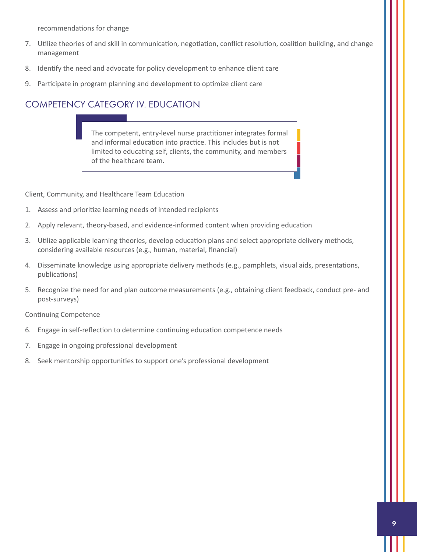<span id="page-8-0"></span>recommendations for change

- 7. Utilize theories of and skill in communication, negotiation, conflict resolution, coalition building, and change management
- 8. Identify the need and advocate for policy development to enhance client care
- 9. Participate in program planning and development to optimize client care

## COMPETENCY CATEGORY IV. EDUCATION

The competent, entry-level nurse practitioner integrates formal and informal education into practice. This includes but is not limited to educating self, clients, the community, and members of the healthcare team.

Client, Community, and Healthcare Team Education

- 1. Assess and prioritize learning needs of intended recipients
- 2. Apply relevant, theory-based, and evidence-informed content when providing education
- 3. Utilize applicable learning theories, develop education plans and select appropriate delivery methods, considering available resources (e.g., human, material, financial)
- 4. Disseminate knowledge using appropriate delivery methods (e.g., pamphlets, visual aids, presentations, publications)
- 5. Recognize the need for and plan outcome measurements (e.g., obtaining client feedback, conduct pre- and post-surveys)

Continuing Competence

- 6. Engage in self-reflection to determine continuing education competence needs
- 7. Engage in ongoing professional development
- 8. Seek mentorship opportunities to support one's professional development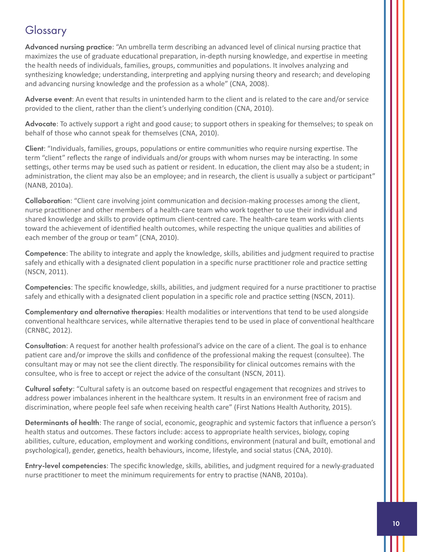# <span id="page-9-0"></span>Glossary

Advanced nursing practice: "An umbrella term describing an advanced level of clinical nursing practice that maximizes the use of graduate educational preparation, in-depth nursing knowledge, and expertise in meeting the health needs of individuals, families, groups, communities and populations. It involves analyzing and synthesizing knowledge; understanding, interpreting and applying nursing theory and research; and developing and advancing nursing knowledge and the profession as a whole" (CNA, 2008).

Adverse event: An event that results in unintended harm to the client and is related to the care and/or service provided to the client, rather than the client's underlying condition (CNA, 2010).

Advocate: To actively support a right and good cause; to support others in speaking for themselves; to speak on behalf of those who cannot speak for themselves (CNA, 2010).

Client: "Individuals, families, groups, populations or entire communities who require nursing expertise. The term "client" reflects the range of individuals and/or groups with whom nurses may be interacting. In some settings, other terms may be used such as patient or resident. In education, the client may also be a student; in administration, the client may also be an employee; and in research, the client is usually a subject or participant" (NANB, 2010a).

Collaboration: "Client care involving joint communication and decision-making processes among the client, nurse practitioner and other members of a health-care team who work together to use their individual and shared knowledge and skills to provide optimum client-centred care. The health-care team works with clients toward the achievement of identified health outcomes, while respecting the unique qualities and abilities of each member of the group or team" (CNA, 2010).

Competence: The ability to integrate and apply the knowledge, skills, abilities and judgment required to practise safely and ethically with a designated client population in a specific nurse practitioner role and practice setting (NSCN, 2011).

Competencies: The specific knowledge, skills, abilities, and judgment required for a nurse practitioner to practise safely and ethically with a designated client population in a specific role and practice setting (NSCN, 2011).

Complementary and alternative therapies: Health modalities or interventions that tend to be used alongside conventional healthcare services, while alternative therapies tend to be used in place of conventional healthcare (CRNBC, 2012).

Consultation: A request for another health professional's advice on the care of a client. The goal is to enhance patient care and/or improve the skills and confidence of the professional making the request (consultee). The consultant may or may not see the client directly. The responsibility for clinical outcomes remains with the consultee, who is free to accept or reject the advice of the consultant (NSCN, 2011).

Cultural safety: "Cultural safety is an outcome based on respectful engagement that recognizes and strives to address power imbalances inherent in the healthcare system. It results in an environment free of racism and discrimination, where people feel safe when receiving health care" (First Nations Health Authority, 2015).

Determinants of health: The range of social, economic, geographic and systemic factors that influence a person's health status and outcomes. These factors include: access to appropriate health services, biology, coping abilities, culture, education, employment and working conditions, environment (natural and built, emotional and psychological), gender, genetics, health behaviours, income, lifestyle, and social status (CNA, 2010).

Entry-level competencies: The specific knowledge, skills, abilities, and judgment required for a newly-graduated nurse practitioner to meet the minimum requirements for entry to practise (NANB, 2010a).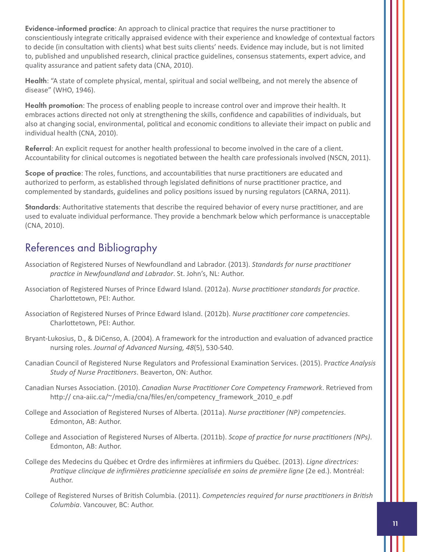<span id="page-10-0"></span>Evidence-informed practice: An approach to clinical practice that requires the nurse practitioner to conscientiously integrate critically appraised evidence with their experience and knowledge of contextual factors to decide (in consultation with clients) what best suits clients' needs. Evidence may include, but is not limited to, published and unpublished research, clinical practice guidelines, consensus statements, expert advice, and quality assurance and patient safety data (CNA, 2010).

Health: "A state of complete physical, mental, spiritual and social wellbeing, and not merely the absence of disease" (WHO, 1946).

Health promotion: The process of enabling people to increase control over and improve their health. It embraces actions directed not only at strengthening the skills, confidence and capabilities of individuals, but also at changing social, environmental, political and economic conditions to alleviate their impact on public and individual health (CNA, 2010).

Referral: An explicit request for another health professional to become involved in the care of a client. Accountability for clinical outcomes is negotiated between the health care professionals involved (NSCN, 2011).

Scope of practice: The roles, functions, and accountabilities that nurse practitioners are educated and authorized to perform, as established through legislated definitions of nurse practitioner practice, and complemented by standards, guidelines and policy positions issued by nursing regulators (CARNA, 2011).

Standards: Authoritative statements that describe the required behavior of every nurse practitioner, and are used to evaluate individual performance. They provide a benchmark below which performance is unacceptable (CNA, 2010).

# References and Bibliography

- Association of Registered Nurses of Newfoundland and Labrador. (2013). *Standards for nurse practitioner practice in Newfoundland and Labrador*. St. John's, NL: Author.
- Association of Registered Nurses of Prince Edward Island. (2012a). *Nurse practitioner standards for practice*. Charlottetown, PEI: Author.
- Association of Registered Nurses of Prince Edward Island. (2012b). *Nurse practitioner core competencies*. Charlottetown, PEI: Author.
- Bryant-Lukosius, D., & DiCenso, A. (2004). A framework for the introduction and evaluation of advanced practice nursing roles. *Journal of Advanced Nursing, 48*(5), 530-540.
- Canadian Council of Registered Nurse Regulators and Professional Examination Services. (2015). P*ractice Analysis Study of Nurse Practitioners*. Beaverton, ON: Author.
- Canadian Nurses Association. (2010). *Canadian Nurse Practitioner Core Competency Framework*. Retrieved from http://cna-aiic.ca/~/media/cna/files/en/competency\_framework\_2010\_e.pdf
- College and Association of Registered Nurses of Alberta. (2011a). *Nurse practitioner (NP) competencies*. Edmonton, AB: Author.
- College and Association of Registered Nurses of Alberta. (2011b). *Scope of practice for nurse practitioners (NPs)*. Edmonton, AB: Author.
- College des Medecins du Québec et Ordre des infirmières at infirmiers du Québec. (2013). *Ligne directrices: Pratique clincique de infirmières praticienne specialisée en soins de première ligne* (2e ed.). Montréal: Author.
- College of Registered Nurses of British Columbia. (2011). *Competencies required for nurse practitioners in British Columbia*. Vancouver, BC: Author.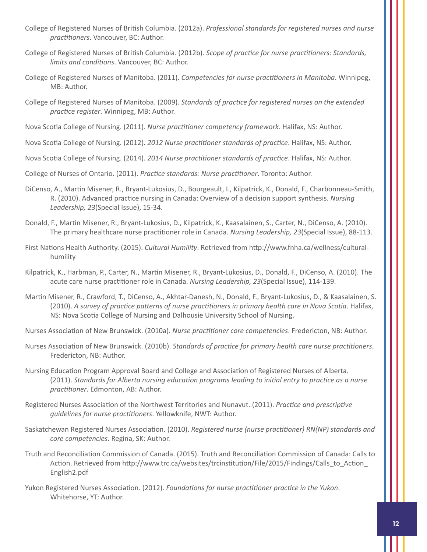- College of Registered Nurses of British Columbia. (2012a). *Professional standards for registered nurses and nurse practitioners*. Vancouver, BC: Author.
- College of Registered Nurses of British Columbia. (2012b). *Scope of practice for nurse practitioners: Standards, limits and conditions*. Vancouver, BC: Author.
- College of Registered Nurses of Manitoba. (2011). *Competencies for nurse practitioners in Manitoba*. Winnipeg, MB: Author.
- College of Registered Nurses of Manitoba. (2009). *Standards of practice for registered nurses on the extended practice register*. Winnipeg, MB: Author.

Nova Scotia College of Nursing. (2011). *Nurse practitioner competency framework*. Halifax, NS: Author.

Nova Scotia College of Nursing. (2012). *2012 Nurse practitioner standards of practice*. Halifax, NS: Author.

Nova Scotia College of Nursing. (2014). *2014 Nurse practitioner standards of practice*. Halifax, NS: Author.

College of Nurses of Ontario. (2011). *Practice standards: Nurse practitioner*. Toronto: Author.

- DiCenso, A., Martin Misener, R., Bryant-Lukosius, D., Bourgeault, I., Kilpatrick, K., Donald, F., Charbonneau-Smith, R. (2010). Advanced practice nursing in Canada: Overview of a decision support synthesis. *Nursing Leadership, 23*(Special Issue), 15-34.
- Donald, F., Martin Misener, R., Bryant-Lukosius, D., Kilpatrick, K., Kaasalainen, S., Carter, N., DiCenso, A. (2010). The primary healthcare nurse practitioner role in Canada. *Nursing Leadership, 23*(Special Issue), 88-113.
- First Nations Health Authority. (2015). *Cultural Humility*. Retrieved from http://www.fnha.ca/wellness/culturalhumility
- Kilpatrick, K., Harbman, P., Carter, N., Martin Misener, R., Bryant-Lukosius, D., Donald, F., DiCenso, A. (2010). The acute care nurse practitioner role in Canada. *Nursing Leadership, 23*(Special Issue), 114-139.
- Martin Misener, R., Crawford, T., DiCenso, A., Akhtar-Danesh, N., Donald, F., Bryant-Lukosius, D., & Kaasalainen, S. (2010). *A survey of practice patterns of nurse practitioners in primary health care in Nova Scotia*. Halifax, NS: Nova Scotia College of Nursing and Dalhousie University School of Nursing.

Nurses Association of New Brunswick. (2010a). *Nurse practitioner core competencies*. Fredericton, NB: Author.

- Nurses Association of New Brunswick. (2010b). *Standards of practice for primary health care nurse practitioners*. Fredericton, NB: Author.
- Nursing Education Program Approval Board and College and Association of Registered Nurses of Alberta. (2011). *Standards for Alberta nursing education programs leading to initial entry to practice as a nurse practitioner*. Edmonton, AB: Author.
- Registered Nurses Association of the Northwest Territories and Nunavut. (2011). *Practice and prescriptive guidelines for nurse practitioners*. Yellowknife, NWT: Author.
- Saskatchewan Registered Nurses Association. (2010). *Registered nurse (nurse practitioner) RN(NP) standards and core competencies*. Regina, SK: Author.
- Truth and Reconciliation Commission of Canada. (2015). Truth and Reconciliation Commission of Canada: Calls to Action. Retrieved from http://www.trc.ca/websites/trcinstitution/File/2015/Findings/Calls\_to\_Action\_ English2.pdf
- Yukon Registered Nurses Association. (2012). *Foundations for nurse practitioner practice in the Yukon*. Whitehorse, YT: Author.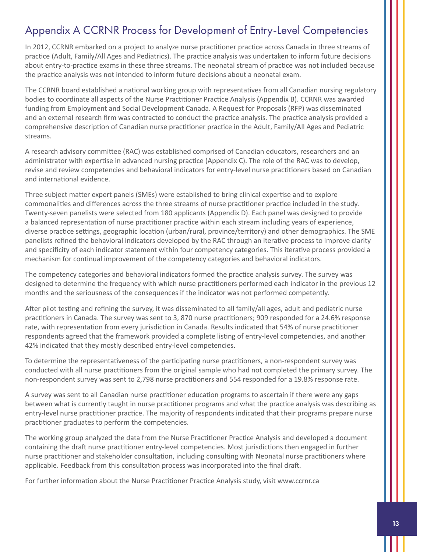# <span id="page-12-0"></span>Appendix A CCRNR Process for Development of Entry-Level Competencies

In 2012, CCRNR embarked on a project to analyze nurse practitioner practice across Canada in three streams of practice (Adult, Family/All Ages and Pediatrics). The practice analysis was undertaken to inform future decisions about entry-to-practice exams in these three streams. The neonatal stream of practice was not included because the practice analysis was not intended to inform future decisions about a neonatal exam.

The CCRNR board established a national working group with representatives from all Canadian nursing regulatory bodies to coordinate all aspects of the Nurse Practitioner Practice Analysis (Appendix B). CCRNR was awarded funding from Employment and Social Development Canada. A Request for Proposals (RFP) was disseminated and an external research firm was contracted to conduct the practice analysis. The practice analysis provided a comprehensive description of Canadian nurse practitioner practice in the Adult, Family/All Ages and Pediatric streams.

A research advisory committee (RAC) was established comprised of Canadian educators, researchers and an administrator with expertise in advanced nursing practice (Appendix C). The role of the RAC was to develop, revise and review competencies and behavioral indicators for entry-level nurse practitioners based on Canadian and international evidence.

Three subject matter expert panels (SMEs) were established to bring clinical expertise and to explore commonalities and differences across the three streams of nurse practitioner practice included in the study. Twenty-seven panelists were selected from 180 applicants (Appendix D). Each panel was designed to provide a balanced representation of nurse practitioner practice within each stream including years of experience, diverse practice settings, geographic location (urban/rural, province/territory) and other demographics. The SME panelists refined the behavioral indicators developed by the RAC through an iterative process to improve clarity and specificity of each indicator statement within four competency categories. This iterative process provided a mechanism for continual improvement of the competency categories and behavioral indicators.

The competency categories and behavioral indicators formed the practice analysis survey. The survey was designed to determine the frequency with which nurse practitioners performed each indicator in the previous 12 months and the seriousness of the consequences if the indicator was not performed competently.

After pilot testing and refining the survey, it was disseminated to all family/all ages, adult and pediatric nurse practitioners in Canada. The survey was sent to 3, 870 nurse practitioners; 909 responded for a 24.6% response rate, with representation from every jurisdiction in Canada. Results indicated that 54% of nurse practitioner respondents agreed that the framework provided a complete listing of entry-level competencies, and another 42% indicated that they mostly described entry-level competencies.

To determine the representativeness of the participating nurse practitioners, a non-respondent survey was conducted with all nurse practitioners from the original sample who had not completed the primary survey. The non-respondent survey was sent to 2,798 nurse practitioners and 554 responded for a 19.8% response rate.

A survey was sent to all Canadian nurse practitioner education programs to ascertain if there were any gaps between what is currently taught in nurse practitioner programs and what the practice analysis was describing as entry-level nurse practitioner practice. The majority of respondents indicated that their programs prepare nurse practitioner graduates to perform the competencies.

The working group analyzed the data from the Nurse Practitioner Practice Analysis and developed a document containing the draft nurse practitioner entry-level competencies. Most jurisdictions then engaged in further nurse practitioner and stakeholder consultation, including consulting with Neonatal nurse practitioners where applicable. Feedback from this consultation process was incorporated into the final draft.

For further information about the Nurse Practitioner Practice Analysis study, visit www.ccrnr.ca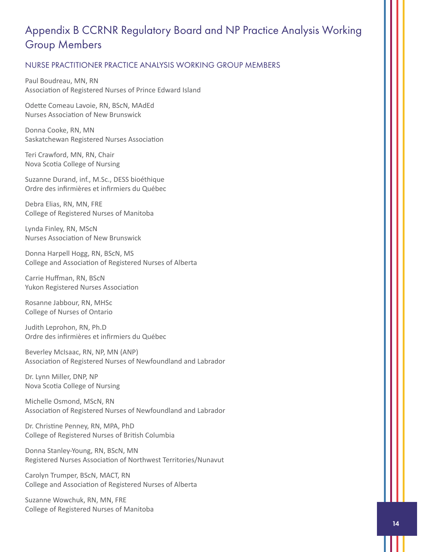# <span id="page-13-0"></span>Appendix B CCRNR Regulatory Board and NP Practice Analysis Working Group Members

#### NURSE PRACTITIONER PRACTICE ANALYSIS WORKING GROUP MEMBERS

Paul Boudreau, MN, RN Association of Registered Nurses of Prince Edward Island

Odette Comeau Lavoie, RN, BScN, MAdEd Nurses Association of New Brunswick

Donna Cooke, RN, MN Saskatchewan Registered Nurses Association

Teri Crawford, MN, RN, Chair Nova Scotia College of Nursing

Suzanne Durand, inf., M.Sc., DESS bioéthique Ordre des infirmières et infirmiers du Québec

Debra Elias, RN, MN, FRE College of Registered Nurses of Manitoba

Lynda Finley, RN, MScN Nurses Association of New Brunswick

Donna Harpell Hogg, RN, BScN, MS College and Association of Registered Nurses of Alberta

Carrie Huffman, RN, BScN Yukon Registered Nurses Association

Rosanne Jabbour, RN, MHSc College of Nurses of Ontario

Judith Leprohon, RN, Ph.D Ordre des infirmières et infirmiers du Québec

Beverley McIsaac, RN, NP, MN (ANP) Association of Registered Nurses of Newfoundland and Labrador

Dr. Lynn Miller, DNP, NP Nova Scotia College of Nursing

Michelle Osmond, MScN, RN Association of Registered Nurses of Newfoundland and Labrador

Dr. Christine Penney, RN, MPA, PhD College of Registered Nurses of British Columbia

Donna Stanley-Young, RN, BScN, MN Registered Nurses Association of Northwest Territories/Nunavut

Carolyn Trumper, BScN, MACT, RN College and Association of Registered Nurses of Alberta

Suzanne Wowchuk, RN, MN, FRE College of Registered Nurses of Manitoba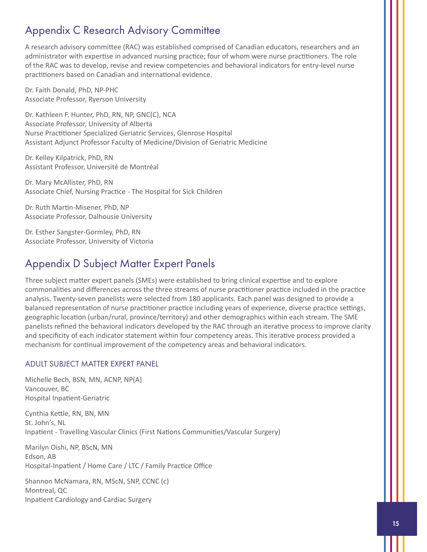# <span id="page-14-0"></span>Appendix C Research Advisory Committee

A research advisory committee (RAC) was established comprised of Canadian educators, researchers and an administrator with expertise in advanced nursing practice; four of whom were nurse practitioners. The role of the RAC was to develop, revise and review competencies and behavioral indicators for entry-level nurse practitioners based on Canadian and international evidence.

Dr. Faith Donald, PhD, NP-PHC Associate Professor, Ryerson University

Dr. Kathleen F. Hunter, PhD, RN, NP, GNC(C), NCA Associate Professor, University of Alberta Nurse Practitioner Specialized Geriatric Services, Glenrose Hospital Assistant Adjunct Professor Faculty of Medicine/Division of Geriatric Medicine

Dr. Kelley Kilpatrick, PhD, RN Assistant Professor, Université de Montréal

Dr. Mary McAllister, PhD, RN Associate Chief, Nursing Practice - The Hospital for Sick Children

Dr. Ruth Martin-Misener, PhD, NP Associate Professor, Dalhousie University

Dr. Esther Sangster-Gormley, PhD, RN Associate Professor, University of Victoria

# Appendix D Subject Matter Expert Panels

Three subject matter expert panels (SMEs) were established to bring clinical expertise and to explore commonalities and differences across the three streams of nurse practitioner practice included in the practice analysis. Twenty-seven panelists were selected from 180 applicants. Each panel was designed to provide a balanced representation of nurse practitioner practice including years of experience, diverse practice settings, geographic location (urban/rural, province/territory) and other demographics within each stream. The SME panelists refined the behavioral indicators developed by the RAC through an iterative process to improve clarity and specificity of each indicator statement within four competency areas. This iterative process provided a mechanism for continual improvement of the competency areas and behavioral indicators.

## ADULT SUBJECT MATTER EXPERT PANEL

Michelle Bech, BSN, MN, ACNP, NP(A) Vancouver, BC Hospital Inpatient-Geriatric

Cynthia Kettle, RN, BN, MN St. John's, NL Inpatient - Travelling Vascular Clinics (First Nations Communities/Vascular Surgery)

Marilyn Oishi, NP, BScN, MN Edson, AB Hospital-Inpatient / Home Care / LTC / Family Practice Office

Shannon McNamara, RN, MScN, SNP, CCNC (c) Montreal, QC Inpatient Cardiology and Cardiac Surgery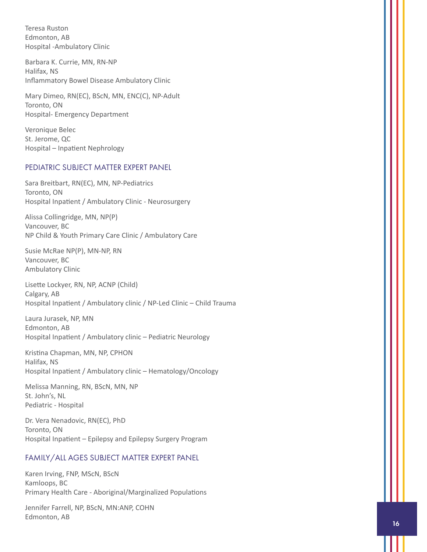Teresa Ruston Edmonton, AB Hospital -Ambulatory Clinic

Barbara K. Currie, MN, RN-NP Halifax, NS Inflammatory Bowel Disease Ambulatory Clinic

Mary Dimeo, RN(EC), BScN, MN, ENC(C), NP-Adult Toronto, ON Hospital- Emergency Department

Veronique Belec St. Jerome, QC Hospital – Inpatient Nephrology

#### PEDIATRIC SUBJECT MATTER EXPERT PANEL

Sara Breitbart, RN(EC), MN, NP-Pediatrics Toronto, ON Hospital Inpatient / Ambulatory Clinic - Neurosurgery

Alissa Collingridge, MN, NP(P) Vancouver, BC NP Child & Youth Primary Care Clinic / Ambulatory Care

Susie McRae NP(P), MN-NP, RN Vancouver, BC Ambulatory Clinic

Lisette Lockyer, RN, NP, ACNP (Child) Calgary, AB Hospital Inpatient / Ambulatory clinic / NP-Led Clinic – Child Trauma

Laura Jurasek, NP, MN Edmonton, AB Hospital Inpatient / Ambulatory clinic – Pediatric Neurology

Kristina Chapman, MN, NP, CPHON Halifax, NS Hospital Inpatient / Ambulatory clinic – Hematology/Oncology

Melissa Manning, RN, BScN, MN, NP St. John's, NL Pediatric - Hospital

Dr. Vera Nenadovic, RN(EC), PhD Toronto, ON Hospital Inpatient – Epilepsy and Epilepsy Surgery Program

#### FAMILY/ALL AGES SUBJECT MATTER EXPERT PANEL

Karen Irving, FNP, MScN, BScN Kamloops, BC Primary Health Care - Aboriginal/Marginalized Populations

Jennifer Farrell, NP, BScN, MN:ANP, COHN Edmonton, AB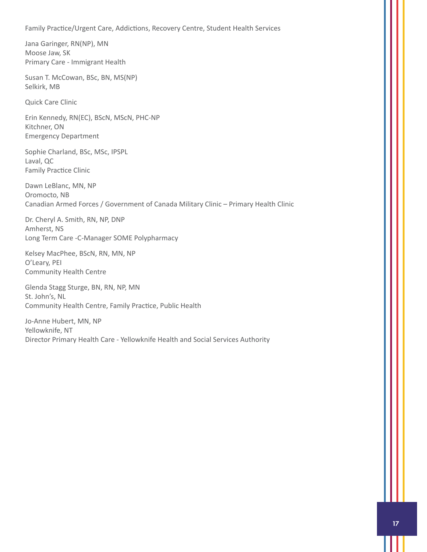Family Practice/Urgent Care, Addictions, Recovery Centre, Student Health Services

Jana Garinger, RN(NP), MN Moose Jaw, SK Primary Care - Immigrant Health

Susan T. McCowan, BSc, BN, MS(NP) Selkirk, MB

Quick Care Clinic

Erin Kennedy, RN(EC), BScN, MScN, PHC-NP Kitchner, ON Emergency Department

Sophie Charland, BSc, MSc, IPSPL Laval, QC Family Practice Clinic

Dawn LeBlanc, MN, NP Oromocto, NB Canadian Armed Forces / Government of Canada Military Clinic – Primary Health Clinic

Dr. Cheryl A. Smith, RN, NP, DNP Amherst, NS Long Term Care -C-Manager SOME Polypharmacy

Kelsey MacPhee, BScN, RN, MN, NP O'Leary, PEI Community Health Centre

Glenda Stagg Sturge, BN, RN, NP, MN St. John's, NL Community Health Centre, Family Practice, Public Health

Jo-Anne Hubert, MN, NP Yellowknife, NT Director Primary Health Care - Yellowknife Health and Social Services Authority